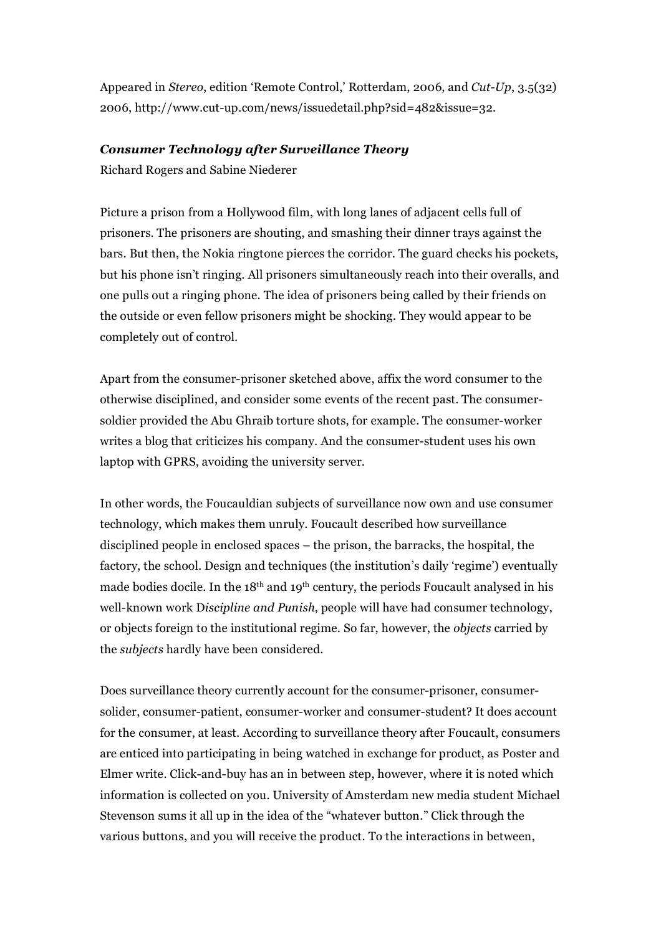Appeared in *Stereo*, edition 'Remote Control,' Rotterdam, 2006, and *Cut-Up*, 3.5(32) 2006, http://www.cut-up.com/news/issuedetail.php?sid=482&issue=32.

## *Consumer Technology after Surveillance Theory*

Richard Rogers and Sabine Niederer

Picture a prison from a Hollywood film, with long lanes of adjacent cells full of prisoners. The prisoners are shouting, and smashing their dinner trays against the bars. But then, the Nokia ringtone pierces the corridor. The guard checks his pockets, but his phone isn't ringing. All prisoners simultaneously reach into their overalls, and one pulls out a ringing phone. The idea of prisoners being called by their friends on the outside or even fellow prisoners might be shocking. They would appear to be completely out of control.

Apart from the consumer-prisoner sketched above, affix the word consumer to the otherwise disciplined, and consider some events of the recent past. The consumersoldier provided the Abu Ghraib torture shots, for example. The consumer-worker writes a blog that criticizes his company. And the consumer-student uses his own laptop with GPRS, avoiding the university server.

In other words, the Foucauldian subjects of surveillance now own and use consumer technology, which makes them unruly. Foucault described how surveillance disciplined people in enclosed spaces – the prison, the barracks, the hospital, the factory, the school. Design and techniques (the institution's daily 'regime') eventually made bodies docile. In the 18<sup>th</sup> and 19<sup>th</sup> century, the periods Foucault analysed in his well-known work D*iscipline and Punish*, people will have had consumer technology, or objects foreign to the institutional regime. So far, however, the *objects* carried by the *subjects* hardly have been considered.

Does surveillance theory currently account for the consumer-prisoner, consumersolider, consumer-patient, consumer-worker and consumer-student? It does account for the consumer, at least. According to surveillance theory after Foucault, consumers are enticed into participating in being watched in exchange for product, as Poster and Elmer write. Click-and-buy has an in between step, however, where it is noted which information is collected on you. University of Amsterdam new media student Michael Stevenson sums it all up in the idea of the "whatever button." Click through the various buttons, and you will receive the product. To the interactions in between,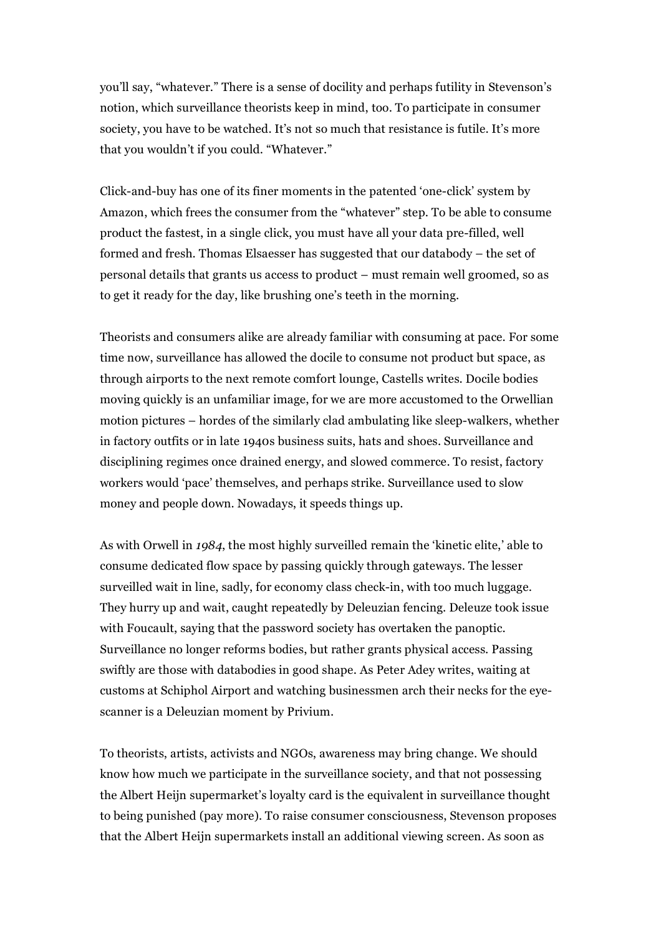you'll say, "whatever." There is a sense of docility and perhaps futility in Stevenson's notion, which surveillance theorists keep in mind, too. To participate in consumer society, you have to be watched. It's not so much that resistance is futile. It's more that you wouldn't if you could. "Whatever."

Click-and-buy has one of its finer moments in the patented 'one-click' system by Amazon, which frees the consumer from the "whatever" step. To be able to consume product the fastest, in a single click, you must have all your data pre-filled, well formed and fresh. Thomas Elsaesser has suggested that our databody – the set of personal details that grants us access to product – must remain well groomed, so as to get it ready for the day, like brushing one's teeth in the morning.

Theorists and consumers alike are already familiar with consuming at pace. For some time now, surveillance has allowed the docile to consume not product but space, as through airports to the next remote comfort lounge, Castells writes. Docile bodies moving quickly is an unfamiliar image, for we are more accustomed to the Orwellian motion pictures – hordes of the similarly clad ambulating like sleep-walkers, whether in factory outfits or in late 1940s business suits, hats and shoes. Surveillance and disciplining regimes once drained energy, and slowed commerce. To resist, factory workers would 'pace' themselves, and perhaps strike. Surveillance used to slow money and people down. Nowadays, it speeds things up.

As with Orwell in *1984*, the most highly surveilled remain the 'kinetic elite,' able to consume dedicated flow space by passing quickly through gateways. The lesser surveilled wait in line, sadly, for economy class check-in, with too much luggage. They hurry up and wait, caught repeatedly by Deleuzian fencing. Deleuze took issue with Foucault, saying that the password society has overtaken the panoptic. Surveillance no longer reforms bodies, but rather grants physical access. Passing swiftly are those with databodies in good shape. As Peter Adey writes, waiting at customs at Schiphol Airport and watching businessmen arch their necks for the eyescanner is a Deleuzian moment by Privium.

To theorists, artists, activists and NGOs, awareness may bring change. We should know how much we participate in the surveillance society, and that not possessing the Albert Heijn supermarket's loyalty card is the equivalent in surveillance thought to being punished (pay more). To raise consumer consciousness, Stevenson proposes that the Albert Heijn supermarkets install an additional viewing screen. As soon as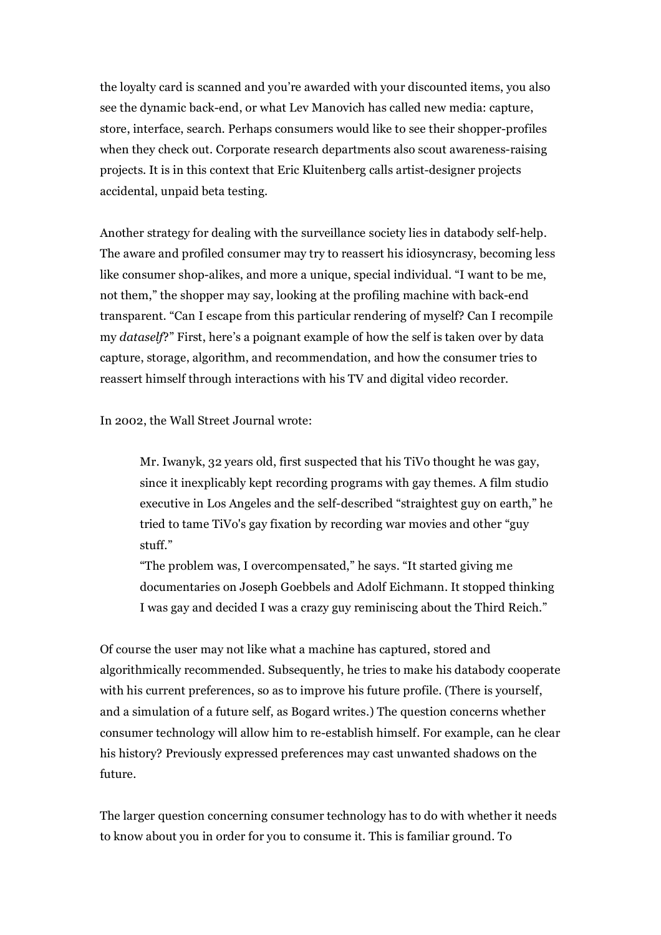the loyalty card is scanned and you're awarded with your discounted items, you also see the dynamic back-end, or what Lev Manovich has called new media: capture, store, interface, search. Perhaps consumers would like to see their shopper-profiles when they check out. Corporate research departments also scout awareness-raising projects. It is in this context that Eric Kluitenberg calls artist-designer projects accidental, unpaid beta testing.

Another strategy for dealing with the surveillance society lies in databody self-help. The aware and profiled consumer may try to reassert his idiosyncrasy, becoming less like consumer shop-alikes, and more a unique, special individual. "I want to be me, not them," the shopper may say, looking at the profiling machine with back-end transparent. "Can I escape from this particular rendering of myself? Can I recompile my *dataself*?" First, here's a poignant example of how the self is taken over by data capture, storage, algorithm, and recommendation, and how the consumer tries to reassert himself through interactions with his TV and digital video recorder.

In 2002, the Wall Street Journal wrote:

Mr. Iwanyk, 32 years old, first suspected that his TiVo thought he was gay, since it inexplicably kept recording programs with gay themes. A film studio executive in Los Angeles and the self-described "straightest guy on earth," he tried to tame TiVo's gay fixation by recording war movies and other "guy stuff."

"The problem was, I overcompensated," he says. "It started giving me documentaries on Joseph Goebbels and Adolf Eichmann. It stopped thinking I was gay and decided I was a crazy guy reminiscing about the Third Reich."

Of course the user may not like what a machine has captured, stored and algorithmically recommended. Subsequently, he tries to make his databody cooperate with his current preferences, so as to improve his future profile. (There is yourself, and a simulation of a future self, as Bogard writes.) The question concerns whether consumer technology will allow him to re-establish himself. For example, can he clear his history? Previously expressed preferences may cast unwanted shadows on the future.

The larger question concerning consumer technology has to do with whether it needs to know about you in order for you to consume it. This is familiar ground. To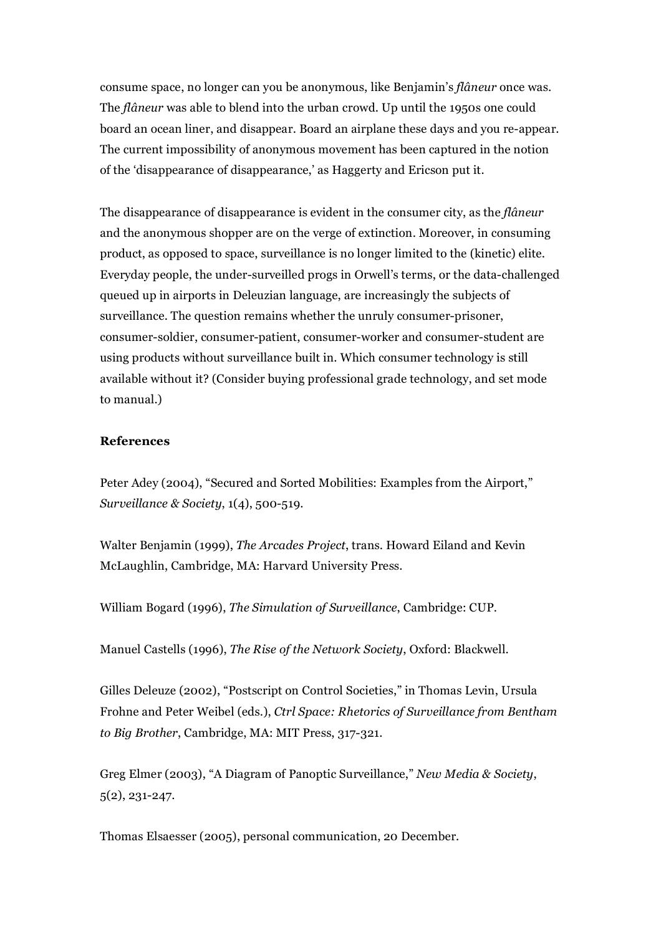consume space, no longer can you be anonymous, like Benjamin's *flâneur* once was. The *flâneur* was able to blend into the urban crowd. Up until the 1950s one could board an ocean liner, and disappear. Board an airplane these days and you re-appear. The current impossibility of anonymous movement has been captured in the notion of the 'disappearance of disappearance,' as Haggerty and Ericson put it.

The disappearance of disappearance is evident in the consumer city, as the *flâneur* and the anonymous shopper are on the verge of extinction. Moreover, in consuming product, as opposed to space, surveillance is no longer limited to the (kinetic) elite. Everyday people, the under-surveilled progs in Orwell's terms, or the data-challenged queued up in airports in Deleuzian language, are increasingly the subjects of surveillance. The question remains whether the unruly consumer-prisoner, consumer-soldier, consumer-patient, consumer-worker and consumer-student are using products without surveillance built in. Which consumer technology is still available without it? (Consider buying professional grade technology, and set mode to manual.)

## **References**

Peter Adey (2004), "Secured and Sorted Mobilities: Examples from the Airport," *Surveillance & Society*, 1(4), 500-519.

Walter Benjamin (1999), *The Arcades Project*, trans. Howard Eiland and Kevin McLaughlin, Cambridge, MA: Harvard University Press.

William Bogard (1996), *The Simulation of Surveillance*, Cambridge: CUP.

Manuel Castells (1996), *The Rise of the Network Society*, Oxford: Blackwell.

Gilles Deleuze (2002), "Postscript on Control Societies," in Thomas Levin, Ursula Frohne and Peter Weibel (eds.), *Ctrl Space: Rhetorics of Surveillance from Bentham to Big Brother*, Cambridge, MA: MIT Press, 317-321.

Greg Elmer (2003), "A Diagram of Panoptic Surveillance," *New Media & Society*, 5(2), 231-247.

Thomas Elsaesser (2005), personal communication, 20 December.